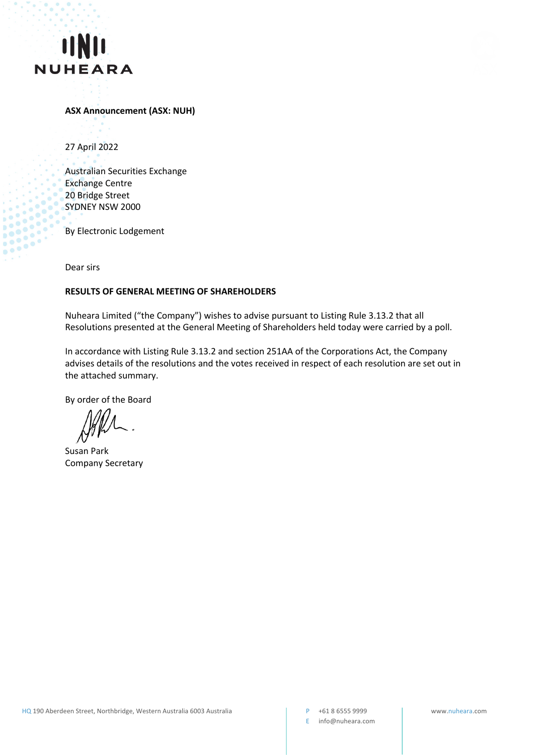



## **ASX Announcement (ASX: NUH)**

27 April 2022

Australian Securities Exchange Exchange Centre 20 Bridge Street SYDNEY NSW 2000

By Electronic Lodgement

Dear sirs

 $\ddot{\bullet}$ 

.<br>G

## **RESULTS OF GENERAL MEETING OF SHAREHOLDERS**

Nuheara Limited ("the Company") wishes to advise pursuant to Listing Rule 3.13.2 that all Resolutions presented at the General Meeting of Shareholders held today were carried by a poll.

In accordance with Listing Rule 3.13.2 and section 251AA of the Corporations Act, the Company advises details of the resolutions and the votes received in respect of each resolution are set out in the attached summary.

By order of the Board

Susan Park Company Secretary

E info@nuheara.com